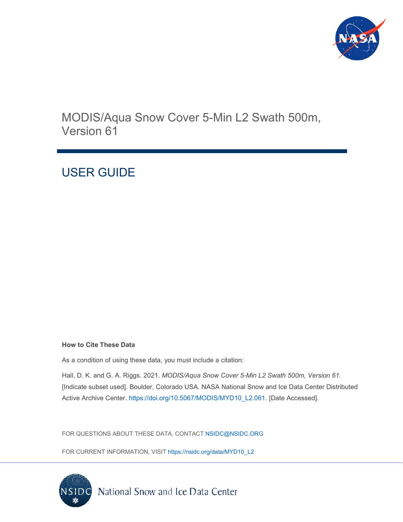

MODIS/Aqua Snow Cover 5-Min L2 Swath 500m, Version 61

# USER GUIDE

#### **How to Cite These Data**

As a condition of using these data, you must include a citation:

Hall, D. K. and G. A. Riggs. 2021. *MODIS/Aqua Snow Cover 5-Min L2 Swath 500m, Version 61.* [Indicate subset used]. Boulder, Colorado USA. NASA National Snow and Ice Data Center Distributed Active Archive Center. [https://doi.org/10.5067/MODIS/MYD10\\_L2.061.](https://doi.org/10.5067/MODIS/MYD10_L2.061) [Date Accessed].

FOR QUESTIONS ABOUT THESE DATA, CONTACT [NSIDC@NSIDC.ORG](mailto:nsidc@nsidc.org)

FOR CURRENT INFORMATION, VISIT [https://nsidc.org/data/MYD10\\_L2](https://nsidc.org/data/MYD10_L2)

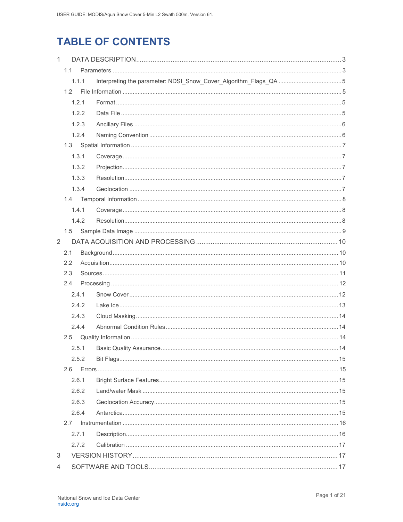# **TABLE OF CONTENTS**

| 1 |     |       |  |  |  |
|---|-----|-------|--|--|--|
|   | 1.1 |       |  |  |  |
|   |     | 1.1.1 |  |  |  |
|   | 1.2 |       |  |  |  |
|   |     | 1.2.1 |  |  |  |
|   |     | 1.2.2 |  |  |  |
|   |     | 1.2.3 |  |  |  |
|   |     | 1.2.4 |  |  |  |
|   |     |       |  |  |  |
|   |     | 1.3.1 |  |  |  |
|   |     | 1.3.2 |  |  |  |
|   |     | 1.3.3 |  |  |  |
|   |     | 1.3.4 |  |  |  |
|   | 1.4 |       |  |  |  |
|   |     | 1.4.1 |  |  |  |
|   |     | 1.4.2 |  |  |  |
|   | 1.5 |       |  |  |  |
| 2 |     |       |  |  |  |
|   | 2.1 |       |  |  |  |
|   | 2.2 |       |  |  |  |
|   | 2.3 |       |  |  |  |
|   | 2.4 |       |  |  |  |
|   |     | 2.4.1 |  |  |  |
|   |     | 2.4.2 |  |  |  |
|   |     | 2.4.3 |  |  |  |
|   |     | 2.4.4 |  |  |  |
|   | 2.5 |       |  |  |  |
|   |     | 2.5.1 |  |  |  |
|   |     | 2.5.2 |  |  |  |
|   | 2.6 |       |  |  |  |
|   |     | 2.6.1 |  |  |  |
|   |     | 2.6.2 |  |  |  |
|   |     | 2.6.3 |  |  |  |
|   |     | 2.6.4 |  |  |  |
|   | 2.7 |       |  |  |  |
|   |     | 2.7.1 |  |  |  |
|   |     | 2.7.2 |  |  |  |
| 3 |     |       |  |  |  |
| 4 |     |       |  |  |  |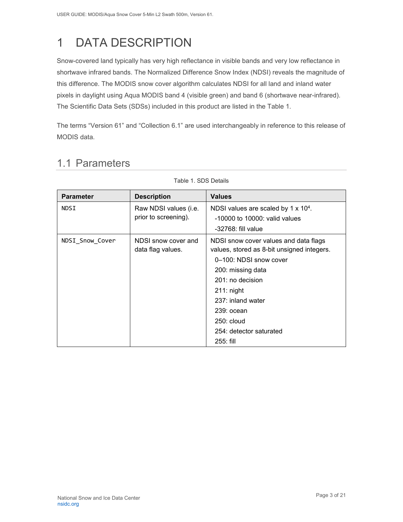# <span id="page-3-0"></span>1 DATA DESCRIPTION

Snow-covered land typically has very high reflectance in visible bands and very low reflectance in shortwave infrared bands. The Normalized Difference Snow Index (NDSI) reveals the magnitude of this difference. The MODIS snow cover algorithm calculates NDSI for all land and inland water pixels in daylight using Aqua MODIS band 4 (visible green) and band 6 (shortwave near-infrared). The Scientific Data Sets (SDSs) included in this product are listed in the Table 1.

The terms "Version 61" and "Collection 6.1" are used interchangeably in reference to this release of MODIS data.

# <span id="page-3-1"></span>1.1 Parameters

| <b>Parameter</b> | <b>Description</b>                            | <b>Values</b>                                                                                                                                                                                                                                                         |  |  |
|------------------|-----------------------------------------------|-----------------------------------------------------------------------------------------------------------------------------------------------------------------------------------------------------------------------------------------------------------------------|--|--|
| NDSI             | Raw NDSI values (i.e.<br>prior to screening). | NDSI values are scaled by 1 x 10 <sup>4</sup> .<br>$-10000$ to $10000$ : valid values<br>$-32768$ : fill value                                                                                                                                                        |  |  |
| NDSI_Snow_Cover  | NDSI snow cover and<br>data flag values.      | NDSI snow cover values and data flags<br>values, stored as 8-bit unsigned integers.<br>0-100: NDSI snow cover<br>200: missing data<br>201: no decision<br>$211:$ night<br>237: inland water<br>$239:$ ocean<br>$250:$ cloud<br>254: detector saturated<br>$255:$ fill |  |  |

Table 1. SDS Details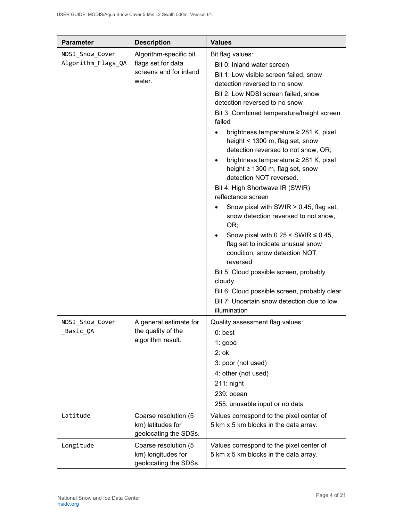| <b>Parameter</b>                      | <b>Description</b>                                                               | <b>Values</b>                                                                                                                                                                                                                                                                                                                                                                                                                                                                                                                                                                                                                                                                                                                                                                                                                                                                                                                                   |
|---------------------------------------|----------------------------------------------------------------------------------|-------------------------------------------------------------------------------------------------------------------------------------------------------------------------------------------------------------------------------------------------------------------------------------------------------------------------------------------------------------------------------------------------------------------------------------------------------------------------------------------------------------------------------------------------------------------------------------------------------------------------------------------------------------------------------------------------------------------------------------------------------------------------------------------------------------------------------------------------------------------------------------------------------------------------------------------------|
| NDSI Snow Cover<br>Algorithm_Flags_QA | Algorithm-specific bit<br>flags set for data<br>screens and for inland<br>water. | Bit flag values:<br>Bit 0: Inland water screen<br>Bit 1: Low visible screen failed, snow<br>detection reversed to no snow<br>Bit 2: Low NDSI screen failed, snow<br>detection reversed to no snow<br>Bit 3: Combined temperature/height screen<br>failed<br>brightness temperature $\geq$ 281 K, pixel<br>height < 1300 m, flag set, snow<br>detection reversed to not snow, OR;<br>brightness temperature ≥ 281 K, pixel<br>height ≥ 1300 m, flag set, snow<br>detection NOT reversed.<br>Bit 4: High Shortwave IR (SWIR)<br>reflectance screen<br>Snow pixel with SWIR > 0.45, flag set,<br>snow detection reversed to not snow,<br>OR;<br>Snow pixel with $0.25 \leq$ SWIR $\leq 0.45$ ,<br>flag set to indicate unusual snow<br>condition, snow detection NOT<br>reversed<br>Bit 5: Cloud possible screen, probably<br>cloudy<br>Bit 6: Cloud possible screen, probably clear<br>Bit 7: Uncertain snow detection due to low<br>illumination |
| NDSI_Snow_Cover<br>_Basic_QA          | A general estimate for<br>the quality of the<br>algorithm result.                | Quality assessment flag values:<br>$0:$ best<br>1: good<br>$2:$ ok<br>3: poor (not used)<br>4: other (not used)<br>$211:$ night<br>239: ocean<br>255: unusable input or no data                                                                                                                                                                                                                                                                                                                                                                                                                                                                                                                                                                                                                                                                                                                                                                 |
| Latitude                              | Coarse resolution (5<br>km) latitudes for<br>geolocating the SDSs.               | Values correspond to the pixel center of<br>5 km x 5 km blocks in the data array.                                                                                                                                                                                                                                                                                                                                                                                                                                                                                                                                                                                                                                                                                                                                                                                                                                                               |
| Longitude                             | Coarse resolution (5<br>km) longitudes for<br>geolocating the SDSs.              | Values correspond to the pixel center of<br>5 km x 5 km blocks in the data array.                                                                                                                                                                                                                                                                                                                                                                                                                                                                                                                                                                                                                                                                                                                                                                                                                                                               |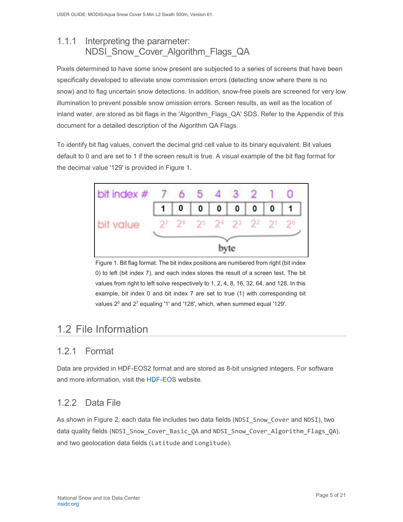## <span id="page-5-0"></span>1.1.1 Interpreting the parameter: NDSI\_Snow\_Cover\_Algorithm\_Flags\_QA

Pixels determined to have some snow present are subjected to a series of screens that have been specifically developed to alleviate snow commission errors (detecting snow where there is no snow) and to flag uncertain snow detections. In addition, snow-free pixels are screened for very low illumination to prevent possible snow omission errors. Screen results, as well as the location of inland water, are stored as bit flags in the 'Algorithm\_Flags\_QA' SDS. Refer to the Appendix of this document for a detailed description of the Algorithm QA Flags.

To identify bit flag values, convert the decimal grid cell value to its binary equivalent. Bit values default to 0 and are set to 1 if the screen result is true. A visual example of the bit flag format for the decimal value '129' is provided in Figure 1.



Figure 1. Bit flag format. The bit index positions are numbered from right (bit index 0) to left (bit index 7), and each index stores the result of a screen test. The bit values from right to left solve respectively to 1, 2, 4, 8, 16, 32, 64, and 128. In this example, bit index 0 and bit index 7 are set to true (1) with corresponding bit values  $2^0$  and  $2^7$  equaling '1' and '128', which, when summed equal '129'.

# <span id="page-5-1"></span>1.2 File Information

## <span id="page-5-2"></span>1.2.1 Format

Data are provided in HDF-EOS2 format and are stored as 8-bit unsigned integers. For software and more information, visit the [HDF-EOS](https://portal.hdfgroup.org/display/support) website.

## <span id="page-5-3"></span>1.2.2 Data File

As shown in Figure 2, each data file includes two data fields (NDSI\_Snow\_Cover and NDSI), two data quality fields (NDSI\_Snow\_Cover\_Basic\_QA and NDSI\_Snow\_Cover\_Algorithm\_Flags\_QA), and two geolocation data fields (Latitude and Longitude).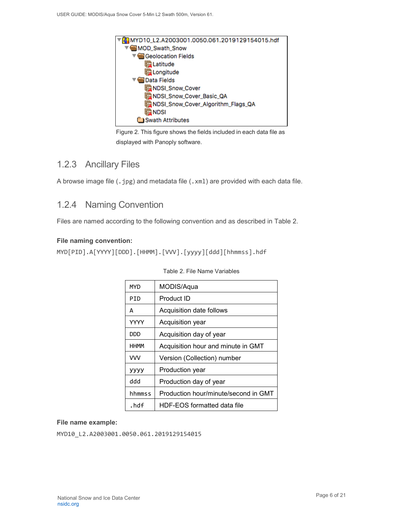

Figure 2. This figure shows the fields included in each data file as displayed with Panoply software.

### <span id="page-6-0"></span>1.2.3 Ancillary Files

A browse image file (.jpg) and metadata file (.xml) are provided with each data file.

### <span id="page-6-1"></span>1.2.4 Naming Convention

Files are named according to the following convention and as described in Table 2.

### **File naming convention:**

MYD[PID].A[YYYY][DDD].[HHMM].[VVV].[yyyy][ddd][hhmmss].hdf

| MYD         | MODIS/Aqua                           |  |  |  |
|-------------|--------------------------------------|--|--|--|
| PTD         | Product ID                           |  |  |  |
| А           | Acquisition date follows             |  |  |  |
| <b>YYYY</b> | Acquisition year                     |  |  |  |
| <b>DDD</b>  | Acquisition day of year              |  |  |  |
| <b>HHMM</b> | Acquisition hour and minute in GMT   |  |  |  |
| <b>VVV</b>  | Version (Collection) number          |  |  |  |
| уууу        | Production year                      |  |  |  |
| ddd         | Production day of year               |  |  |  |
| hhmmss      | Production hour/minute/second in GMT |  |  |  |
| .hdf        | HDF-EOS formatted data file          |  |  |  |

|  |  |  | Table 2. File Name Variables |
|--|--|--|------------------------------|
|--|--|--|------------------------------|

#### **File name example:**

MYD10 L2.A2003001.0050.061.2019129154015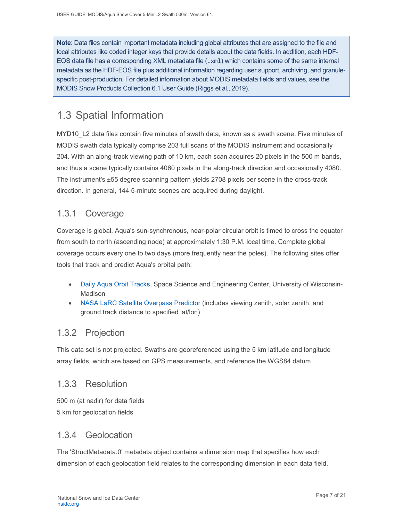**Note**: Data files contain important metadata including global attributes that are assigned to the file and local attributes like coded integer keys that provide details about the data fields. In addition, each HDF-EOS data file has a corresponding XML metadata file (.xm1) which contains some of the same internal metadata as the HDF-EOS file plus additional information regarding user support, archiving, and granulespecific post-production. For detailed information about MODIS metadata fields and values, see the MODIS Snow Products Collection 6.1 User Guide (Riggs et al., 2019).

# <span id="page-7-0"></span>1.3 Spatial Information

MYD10\_L2 data files contain five minutes of swath data, known as a swath scene. Five minutes of MODIS swath data typically comprise 203 full scans of the MODIS instrument and occasionally 204. With an along-track viewing path of 10 km, each scan acquires 20 pixels in the 500 m bands, and thus a scene typically contains 4060 pixels in the along-track direction and occasionally 4080. The instrument's ±55 degree scanning pattern yields 2708 pixels per scene in the cross-track direction. In general, 144 5-minute scenes are acquired during daylight.

## <span id="page-7-1"></span>1.3.1 Coverage

Coverage is global. Aqua's sun-synchronous, near-polar circular orbit is timed to cross the equator from south to north (ascending node) at approximately 1:30 P.M. local time. Complete global coverage occurs every one to two days (more frequently near the poles). The following sites offer tools that track and predict Aqua's orbital path:

- Daily Aqua [Orbit Tracks,](http://www.ssec.wisc.edu/datacenter/aqua/GLOBAL.html) Space Science and Engineering Center, University of Wisconsin-Madison
- [NASA LaRC Satellite Overpass Predictor](https://cloudsway2.larc.nasa.gov/cgi-bin/predict/predict.cgi) (includes viewing zenith, solar zenith, and ground track distance to specified lat/lon)

## <span id="page-7-2"></span>1.3.2 Projection

This data set is not projected. Swaths are georeferenced using the 5 km latitude and longitude array fields, which are based on GPS measurements, and reference the WGS84 datum.

### <span id="page-7-3"></span>1.3.3 Resolution

500 m (at nadir) for data fields 5 km for geolocation fields

### <span id="page-7-4"></span>1.3.4 Geolocation

The 'StructMetadata.0' metadata object contains a dimension map that specifies how each dimension of each geolocation field relates to the corresponding dimension in each data field.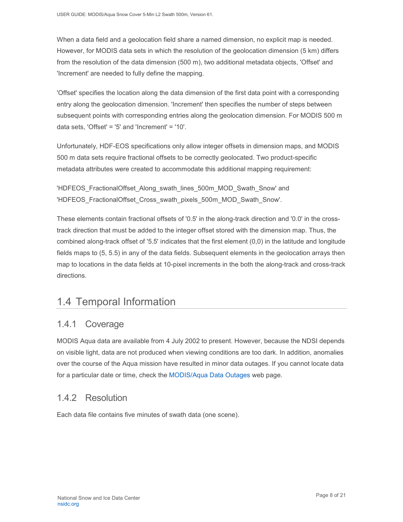When a data field and a geolocation field share a named dimension, no explicit map is needed. However, for MODIS data sets in which the resolution of the geolocation dimension (5 km) differs from the resolution of the data dimension (500 m), two additional metadata objects, 'Offset' and 'Increment' are needed to fully define the mapping.

'Offset' specifies the location along the data dimension of the first data point with a corresponding entry along the geolocation dimension. 'Increment' then specifies the number of steps between subsequent points with corresponding entries along the geolocation dimension. For MODIS 500 m data sets, 'Offset' = '5' and 'Increment' = '10'.

Unfortunately, HDF-EOS specifications only allow integer offsets in dimension maps, and MODIS 500 m data sets require fractional offsets to be correctly geolocated. Two product-specific metadata attributes were created to accommodate this additional mapping requirement:

'HDFEOS\_FractionalOffset\_Along\_swath\_lines\_500m\_MOD\_Swath\_Snow' and 'HDFEOS\_FractionalOffset\_Cross\_swath\_pixels\_500m\_MOD\_Swath\_Snow'.

These elements contain fractional offsets of '0.5' in the along-track direction and '0.0' in the crosstrack direction that must be added to the integer offset stored with the dimension map. Thus, the combined along-track offset of '5.5' indicates that the first element (0,0) in the latitude and longitude fields maps to (5, 5.5) in any of the data fields. Subsequent elements in the geolocation arrays then map to locations in the data fields at 10-pixel increments in the both the along-track and cross-track directions.

# <span id="page-8-0"></span>1.4 Temporal Information

### <span id="page-8-1"></span>1.4.1 Coverage

MODIS Aqua data are available from 4 July 2002 to present. However, because the NDSI depends on visible light, data are not produced when viewing conditions are too dark. In addition, anomalies over the course of the Aqua mission have resulted in minor data outages. If you cannot locate data for a particular date or time, check the MODIS/Aqua [Data Outages](http://modaps.nascom.nasa.gov/services/production/outages_aqua.html) web page.

## <span id="page-8-2"></span>1.4.2 Resolution

Each data file contains five minutes of swath data (one scene).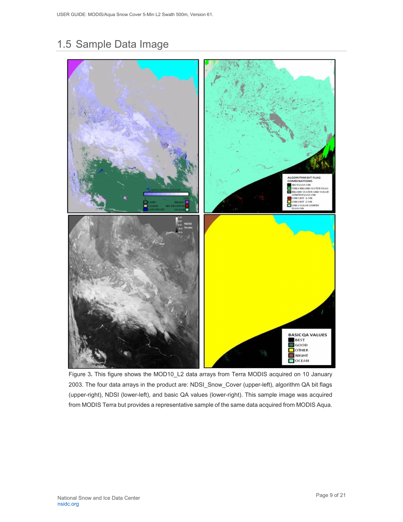# <span id="page-9-0"></span>1.5 Sample Data Image



Figure 3**.** This figure shows the MOD10\_L2 data arrays from Terra MODIS acquired on 10 January 2003. The four data arrays in the product are: NDSI\_Snow\_Cover (upper-left), algorithm QA bit flags (upper-right), NDSI (lower-left), and basic QA values (lower-right). This sample image was acquired from MODIS Terra but provides a representative sample of the same data acquired from MODIS Aqua.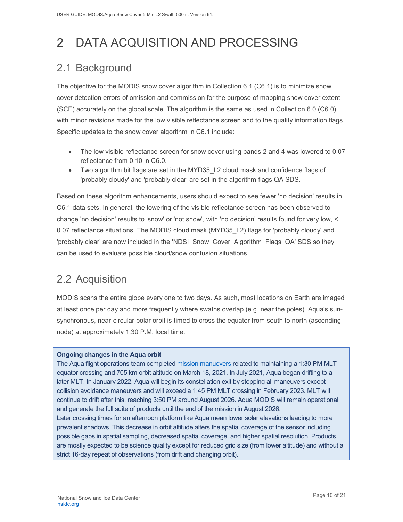# <span id="page-10-0"></span>2 DATA ACQUISITION AND PROCESSING

# <span id="page-10-1"></span>2.1 Background

The objective for the MODIS snow cover algorithm in Collection 6.1 (C6.1) is to minimize snow cover detection errors of omission and commission for the purpose of mapping snow cover extent (SCE) accurately on the global scale. The algorithm is the same as used in Collection 6.0 (C6.0) with minor revisions made for the low visible reflectance screen and to the quality information flags. Specific updates to the snow cover algorithm in C6.1 include:

- The low visible reflectance screen for snow cover using bands 2 and 4 was lowered to 0.07 reflectance from 0.10 in C6.0.
- Two algorithm bit flags are set in the MYD35 L2 cloud mask and confidence flags of 'probably cloudy' and 'probably clear' are set in the algorithm flags QA SDS.

Based on these algorithm enhancements, users should expect to see fewer 'no decision' results in C6.1 data sets. In general, the lowering of the visible reflectance screen has been observed to change 'no decision' results to 'snow' or 'not snow', with 'no decision' results found for very low, < 0.07 reflectance situations. The MODIS cloud mask (MYD35\_L2) flags for 'probably cloudy' and 'probably clear' are now included in the 'NDSI\_Snow\_Cover\_Algorithm\_Flags\_QA' SDS so they can be used to evaluate possible cloud/snow confusion situations.

# <span id="page-10-2"></span>2.2 Acquisition

MODIS scans the entire globe every one to two days. As such, most locations on Earth are imaged at least once per day and more frequently where swaths overlap (e.g. near the poles). Aqua's sunsynchronous, near-circular polar orbit is timed to cross the equator from south to north (ascending node) at approximately 1:30 P.M. local time.

#### **Ongoing changes in the Aqua orbit**

The Aqua flight operations team completed [mission manuevers](https://modis.gsfc.nasa.gov/news/individual.php?news_id=100389) related to maintaining a 1:30 PM MLT equator crossing and 705 km orbit altitude on March 18, 2021. In July 2021, Aqua began drifting to a later MLT. In January 2022, Aqua will begin its constellation exit by stopping all maneuvers except collision avoidance maneuvers and will exceed a 1:45 PM MLT crossing in February 2023. MLT will continue to drift after this, reaching 3:50 PM around August 2026. Aqua MODIS will remain operational and generate the full suite of products until the end of the mission in August 2026. Later crossing times for an afternoon platform like Aqua mean lower solar elevations leading to more prevalent shadows. This decrease in orbit altitude alters the spatial coverage of the sensor including possible gaps in spatial sampling, decreased spatial coverage, and higher spatial resolution. Products are mostly expected to be science quality except for reduced grid size (from lower altitude) and without a strict 16-day repeat of observations (from drift and changing orbit).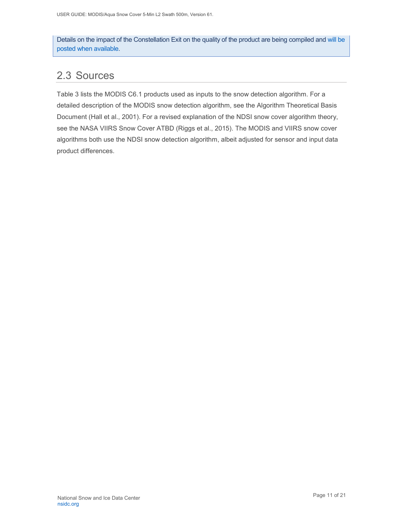Details on the impact of the Constellation Exit on the quality of the product are being compiled and [will be](https://landweb.modaps.eosdis.nasa.gov/cgi-bin/QS/new/index.cgi)  [posted when available.](https://landweb.modaps.eosdis.nasa.gov/cgi-bin/QS/new/index.cgi)

## <span id="page-11-0"></span>2.3 Sources

Table 3 lists the MODIS C6.1 products used as inputs to the snow detection algorithm. For a detailed description of the MODIS snow detection algorithm, see the Algorithm Theoretical Basis Document (Hall et al., 2001). For a revised explanation of the NDSI snow cover algorithm theory, see the NASA VIIRS Snow Cover ATBD (Riggs et al., 2015). The MODIS and VIIRS snow cover algorithms both use the NDSI snow detection algorithm, albeit adjusted for sensor and input data product differences.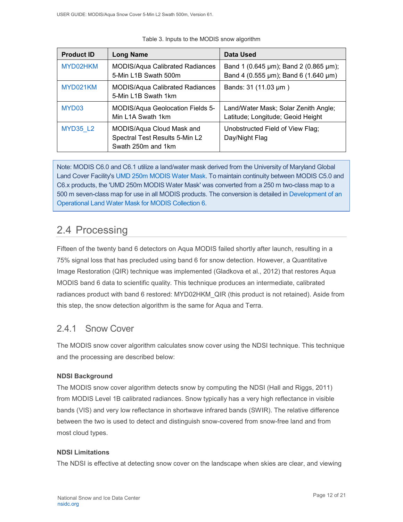| <b>Product ID</b> | <b>Long Name</b>                                                                  | Data Used                                                                     |
|-------------------|-----------------------------------------------------------------------------------|-------------------------------------------------------------------------------|
| MYD02HKM          | <b>MODIS/Aqua Calibrated Radiances</b><br>5-Min L1B Swath 500m                    | Band 1 (0.645 µm); Band 2 (0.865 µm);<br>Band 4 (0.555 µm); Band 6 (1.640 µm) |
| MYD021KM          | <b>MODIS/Aqua Calibrated Radiances</b><br>5-Min L1B Swath 1km                     | Bands: 31 (11.03 µm)                                                          |
| MYD <sub>03</sub> | MODIS/Aqua Geolocation Fields 5-<br>Min L1A Swath 1km                             | Land/Water Mask; Solar Zenith Angle;<br>Latitude; Longitude; Geoid Height     |
| <b>MYD35 L2</b>   | MODIS/Aqua Cloud Mask and<br>Spectral Test Results 5-Min L2<br>Swath 250m and 1km | Unobstructed Field of View Flag;<br>Day/Night Flag                            |

|  |  |  | Table 3. Inputs to the MODIS snow algorithm |
|--|--|--|---------------------------------------------|
|  |  |  |                                             |

Note: MODIS C6.0 and C6.1 utilize a land/water mask derived from the University of Maryland Global Land Cover Facility's [UMD 250m MODIS Water Mask.](https://glad.umd.edu/content/water-mask-2000) To maintain continuity between MODIS C5.0 and C6.x products, the 'UMD 250m MODIS Water Mask' was converted from a 250 m two-class map to a 500 m seven-class map for use in all MODIS products. The conversion is detailed i[n Development of an](https://nsidc.org/sites/nsidc.org/files/technical-references/MODIS_C6_Water_Mask_v3.pdf)  [Operational Land Water Mask for MODIS Collection 6.](https://nsidc.org/sites/nsidc.org/files/technical-references/MODIS_C6_Water_Mask_v3.pdf)

# <span id="page-12-0"></span>2.4 Processing

Fifteen of the twenty band 6 detectors on Aqua MODIS failed shortly after launch, resulting in a 75% signal loss that has precluded using band 6 for snow detection. However, a Quantitative Image Restoration (QIR) technique was implemented (Gladkova et al., 2012) that restores Aqua MODIS band 6 data to scientific quality. This technique produces an intermediate, calibrated radiances product with band 6 restored: MYD02HKM\_QIR (this product is not retained). Aside from this step, the snow detection algorithm is the same for Aqua and Terra.

## <span id="page-12-1"></span>2.4.1 Snow Cover

The MODIS snow cover algorithm calculates snow cover using the NDSI technique. This technique and the processing are described below:

### **NDSI Background**

The MODIS snow cover algorithm detects snow by computing the NDSI (Hall and Riggs, 2011) from MODIS Level 1B calibrated radiances. Snow typically has a very high reflectance in visible bands (VIS) and very low reflectance in shortwave infrared bands (SWIR). The relative difference between the two is used to detect and distinguish snow-covered from snow-free land and from most cloud types.

### **NDSI Limitations**

The NDSI is effective at detecting snow cover on the landscape when skies are clear, and viewing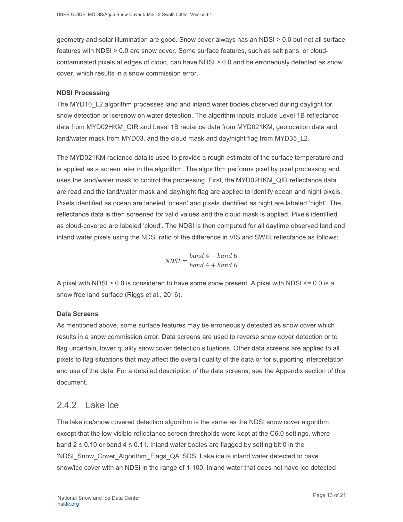geometry and solar illumination are good. Snow cover always has an NDSI > 0.0 but not all surface features with NDSI > 0.0 are snow cover. Some surface features, such as salt pans, or cloudcontaminated pixels at edges of cloud, can have NDSI > 0.0 and be erroneously detected as snow cover, which results in a snow commission error.

#### **NDSI Processing**

The MYD10\_L2 algorithm processes land and inland water bodies observed during daylight for snow detection or ice/snow on water detection. The algorithm inputs include Level 1B reflectance data from MYD02HKM\_QIR and Level 1B radiance data from MYD021KM, geolocation data and land/water mask from MYD03, and the cloud mask and day/night flag from MYD35\_L2.

The MYD021KM radiance data is used to provide a rough estimate of the surface temperature and is applied as a screen later in the algorithm. The algorithm performs pixel by pixel processing and uses the land/water mask to control the processing. First, the MYD02HKM\_QIR reflectance data are read and the land/water mask and day/night flag are applied to identify ocean and night pixels. Pixels identified as ocean are labeled 'ocean' and pixels identified as night are labeled 'night'. The reflectance data is then screened for valid values and the cloud mask is applied. Pixels identified as cloud-covered are labeled 'cloud'. The NDSI is then computed for all daytime observed land and inland water pixels using the NDSI ratio of the difference in VIS and SWIR reflectance as follows:

$$
NDSI = \frac{band \ 4 - band \ 6}{band \ 4 + band \ 6}
$$

A pixel with NDSI > 0.0 is considered to have some snow present. A pixel with NDSI <= 0.0 is a snow free land surface (Riggs et al., 2016).

#### **Data Screens**

As mentioned above, some surface features may be erroneously detected as snow cover which results in a snow commission error. Data screens are used to reverse snow cover detection or to flag uncertain, lower quality snow cover detection situations. Other data screens are applied to all pixels to flag situations that may affect the overall quality of the data or for supporting interpretation and use of the data. For a detailed description of the data screens, see the Appendix section of this document.

### <span id="page-13-0"></span>2.4.2 Lake Ice

The lake ice/snow covered detection algorithm is the same as the NDSI snow cover algorithm, except that the low visible reflectance screen thresholds were kept at the C6.0 settings, where band  $2 \le 0.10$  or band  $4 \le 0.11$ . Inland water bodies are flagged by setting bit 0 in the 'NDSI\_Snow\_Cover\_Algorithm\_Flags\_QA' SDS. Lake ice is inland water detected to have snow/ice cover with an NDSI in the range of 1-100. Inland water that does not have ice detected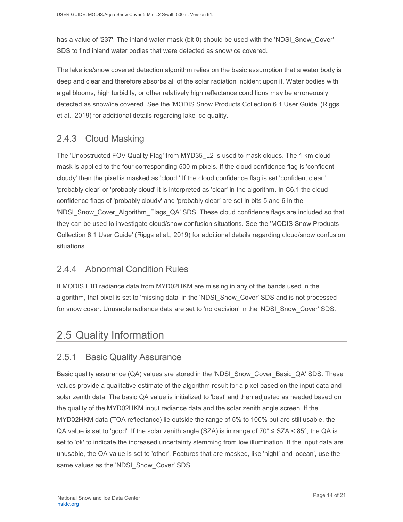has a value of '237'. The inland water mask (bit 0) should be used with the 'NDSI Snow Cover' SDS to find inland water bodies that were detected as snow/ice covered.

The lake ice/snow covered detection algorithm relies on the basic assumption that a water body is deep and clear and therefore absorbs all of the solar radiation incident upon it. Water bodies with algal blooms, high turbidity, or other relatively high reflectance conditions may be erroneously detected as snow/ice covered. See the 'MODIS Snow Products Collection 6.1 User Guide' (Riggs et al., 2019) for additional details regarding lake ice quality.

## <span id="page-14-0"></span>2.4.3 Cloud Masking

The 'Unobstructed FOV Quality Flag' from MYD35\_L2 is used to mask clouds. The 1 km cloud mask is applied to the four corresponding 500 m pixels. If the cloud confidence flag is 'confident cloudy' then the pixel is masked as 'cloud.' If the cloud confidence flag is set 'confident clear,' 'probably clear' or 'probably cloud' it is interpreted as 'clear' in the algorithm. In C6.1 the cloud confidence flags of 'probably cloudy' and 'probably clear' are set in bits 5 and 6 in the 'NDSI\_Snow\_Cover\_Algorithm\_Flags\_QA' SDS. These cloud confidence flags are included so that they can be used to investigate cloud/snow confusion situations. See the 'MODIS Snow Products Collection 6.1 User Guide' (Riggs et al., 2019) for additional details regarding cloud/snow confusion situations.

## <span id="page-14-1"></span>2.4.4 Abnormal Condition Rules

If MODIS L1B radiance data from MYD02HKM are missing in any of the bands used in the algorithm, that pixel is set to 'missing data' in the 'NDSI\_Snow\_Cover' SDS and is not processed for snow cover. Unusable radiance data are set to 'no decision' in the 'NDSI\_Snow\_Cover' SDS.

# <span id="page-14-2"></span>2.5 Quality Information

### <span id="page-14-3"></span>2.5.1 Basic Quality Assurance

Basic quality assurance (QA) values are stored in the 'NDSI\_Snow\_Cover\_Basic\_QA' SDS. These values provide a qualitative estimate of the algorithm result for a pixel based on the input data and solar zenith data. The basic QA value is initialized to 'best' and then adjusted as needed based on the quality of the MYD02HKM input radiance data and the solar zenith angle screen. If the MYD02HKM data (TOA reflectance) lie outside the range of 5% to 100% but are still usable, the QA value is set to 'good'. If the solar zenith angle (SZA) is in range of  $70^{\circ} \leq$  SZA < 85°, the QA is set to 'ok' to indicate the increased uncertainty stemming from low illumination. If the input data are unusable, the QA value is set to 'other'. Features that are masked, like 'night' and 'ocean', use the same values as the 'NDSI Snow Cover' SDS.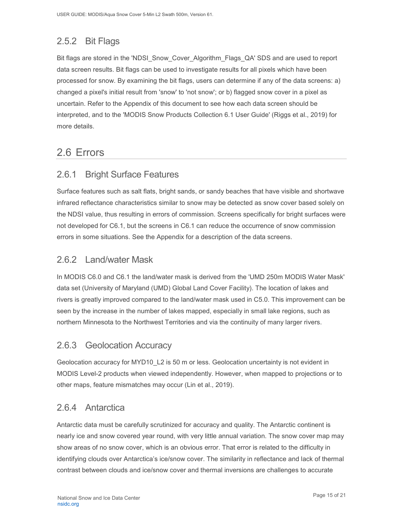## <span id="page-15-0"></span>2.5.2 Bit Flags

Bit flags are stored in the 'NDSI\_Snow\_Cover\_Algorithm\_Flags\_QA' SDS and are used to report data screen results. Bit flags can be used to investigate results for all pixels which have been processed for snow. By examining the bit flags, users can determine if any of the data screens: a) changed a pixel's initial result from 'snow' to 'not snow'; or b) flagged snow cover in a pixel as uncertain. Refer to the Appendix of this document to see how each data screen should be interpreted, and to the 'MODIS Snow Products Collection 6.1 User Guide' (Riggs et al., 2019) for more details.

## <span id="page-15-1"></span>2.6 Errors

### <span id="page-15-2"></span>2.6.1 Bright Surface Features

Surface features such as salt flats, bright sands, or sandy beaches that have visible and shortwave infrared reflectance characteristics similar to snow may be detected as snow cover based solely on the NDSI value, thus resulting in errors of commission. Screens specifically for bright surfaces were not developed for C6.1, but the screens in C6.1 can reduce the occurrence of snow commission errors in some situations. See the Appendix for a description of the data screens.

### <span id="page-15-3"></span>2.6.2 Land/water Mask

In MODIS C6.0 and C6.1 the land/water mask is derived from the 'UMD 250m MODIS Water Mask' data set (University of Maryland (UMD) Global Land Cover Facility). The location of lakes and rivers is greatly improved compared to the land/water mask used in C5.0. This improvement can be seen by the increase in the number of lakes mapped, especially in small lake regions, such as northern Minnesota to the Northwest Territories and via the continuity of many larger rivers.

### <span id="page-15-4"></span>2.6.3 Geolocation Accuracy

Geolocation accuracy for MYD10\_L2 is 50 m or less. Geolocation uncertainty is not evident in MODIS Level-2 products when viewed independently. However, when mapped to projections or to other maps, feature mismatches may occur (Lin et al., 2019).

### <span id="page-15-5"></span>2.6.4 Antarctica

Antarctic data must be carefully scrutinized for accuracy and quality. The Antarctic continent is nearly ice and snow covered year round, with very little annual variation. The snow cover map may show areas of no snow cover, which is an obvious error. That error is related to the difficulty in identifying clouds over Antarctica's ice/snow cover. The similarity in reflectance and lack of thermal contrast between clouds and ice/snow cover and thermal inversions are challenges to accurate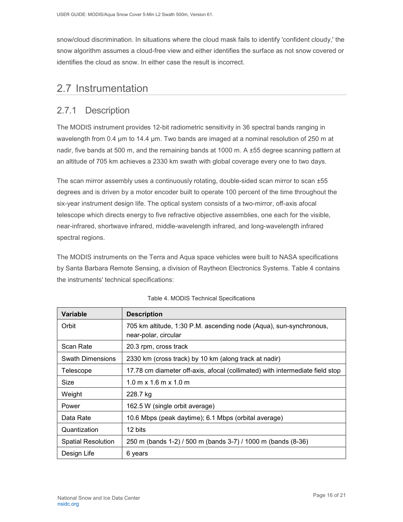snow/cloud discrimination. In situations where the cloud mask fails to identify 'confident cloudy,' the snow algorithm assumes a cloud-free view and either identifies the surface as not snow covered or identifies the cloud as snow. In either case the result is incorrect.

## <span id="page-16-0"></span>2.7 Instrumentation

### <span id="page-16-1"></span>2.7.1 Description

The MODIS instrument provides 12-bit radiometric sensitivity in 36 spectral bands ranging in wavelength from 0.4 um to 14.4 um. Two bands are imaged at a nominal resolution of 250 m at nadir, five bands at 500 m, and the remaining bands at 1000 m. A  $\pm$ 55 degree scanning pattern at an altitude of 705 km achieves a 2330 km swath with global coverage every one to two days.

The scan mirror assembly uses a continuously rotating, double-sided scan mirror to scan ±55 degrees and is driven by a motor encoder built to operate 100 percent of the time throughout the six-year instrument design life. The optical system consists of a two-mirror, off-axis afocal telescope which directs energy to five refractive objective assemblies, one each for the visible, near-infrared, shortwave infrared, middle-wavelength infrared, and long-wavelength infrared spectral regions.

The MODIS instruments on the Terra and Aqua space vehicles were built to NASA specifications by Santa Barbara Remote Sensing, a division of Raytheon Electronics Systems. Table 4 contains the instruments' technical specifications:

| <b>Variable</b>           | <b>Description</b>                                                                         |  |  |  |
|---------------------------|--------------------------------------------------------------------------------------------|--|--|--|
| Orbit                     | 705 km altitude, 1:30 P.M. ascending node (Aqua), sun-synchronous,<br>near-polar, circular |  |  |  |
| Scan Rate                 | 20.3 rpm, cross track                                                                      |  |  |  |
| <b>Swath Dimensions</b>   | 2330 km (cross track) by 10 km (along track at nadir)                                      |  |  |  |
| Telescope                 | 17.78 cm diameter off-axis, afocal (collimated) with intermediate field stop               |  |  |  |
| Size                      | $1.0 \text{ m} \times 1.6 \text{ m} \times 1.0 \text{ m}$                                  |  |  |  |
| Weight                    | 228.7 kg                                                                                   |  |  |  |
| Power                     | 162.5 W (single orbit average)                                                             |  |  |  |
| Data Rate                 | 10.6 Mbps (peak daytime); 6.1 Mbps (orbital average)                                       |  |  |  |
| Quantization              | 12 bits                                                                                    |  |  |  |
| <b>Spatial Resolution</b> | 250 m (bands 1-2) / 500 m (bands 3-7) / 1000 m (bands (8-36)                               |  |  |  |
| Design Life               | 6 years                                                                                    |  |  |  |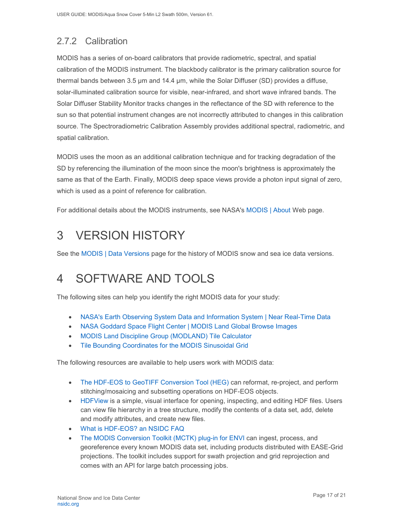# <span id="page-17-0"></span>2.7.2 Calibration

MODIS has a series of on-board calibrators that provide radiometric, spectral, and spatial calibration of the MODIS instrument. The blackbody calibrator is the primary calibration source for thermal bands between 3.5 µm and 14.4 µm, while the Solar Diffuser (SD) provides a diffuse, solar-illuminated calibration source for visible, near-infrared, and short wave infrared bands. The Solar Diffuser Stability Monitor tracks changes in the reflectance of the SD with reference to the sun so that potential instrument changes are not incorrectly attributed to changes in this calibration source. The Spectroradiometric Calibration Assembly provides additional spectral, radiometric, and spatial calibration.

MODIS uses the moon as an additional calibration technique and for tracking degradation of the SD by referencing the illumination of the moon since the moon's brightness is approximately the same as that of the Earth. Finally, MODIS deep space views provide a photon input signal of zero, which is used as a point of reference for calibration.

For additional details about the MODIS instruments, see NASA's [MODIS | About](http://modis.gsfc.nasa.gov/about/) Web page.

# <span id="page-17-1"></span>3 VERSION HISTORY

See the [MODIS | Data Versions](https://nsidc.org/data/modis/data_versions.html) page for the history of MODIS snow and sea ice data versions.

# <span id="page-17-2"></span>4 SOFTWARE AND TOOLS

The following sites can help you identify the right MODIS data for your study:

- [NASA's Earth Observing System Data and Information System | Near Real-Time Data](http://earthdata.nasa.gov/data/near-real-time-data/rapid-response)
- [NASA Goddard Space Flight Center | MODIS Land Global Browse Images](https://landweb.modaps.eosdis.nasa.gov/cgi-bin/browse/browseMODIS.cgi)
- [MODIS Land Discipline Group \(MODLAND\) Tile Calculator](http://landweb.nascom.nasa.gov/cgi-bin/developer/tilemap.cgi)
- [Tile Bounding Coordinates for the MODIS Sinusoidal Grid](http://modis-land.gsfc.nasa.gov/pdf/sn_bound_10deg.txt)

The following resources are available to help users work with MODIS data:

- [The HDF-EOS to GeoTIFF Conversion Tool \(HEG\)](https://wiki.earthdata.nasa.gov/display/DAS/HEG%3A++HDF-EOS+to+GeoTIFF+Conversion+Tool) can reformat, re-project, and perform stitching/mosaicing and subsetting operations on HDF-EOS objects.
- [HDFView](https://www.hdfgroup.org/downloads/hdfview/) is a simple, visual interface for opening, inspecting, and editing HDF files. Users can view file hierarchy in a tree structure, modify the contents of a data set, add, delete and modify attributes, and create new files.
- [What is HDF-EOS? an NSIDC FAQ](https://nsidc.org/support/faq/what-hdf-eos)
- [The MODIS Conversion Toolkit \(MCTK\) plug-in for ENVI](https://github.com/dawhite/MCTK) can ingest, process, and georeference every known MODIS data set, including products distributed with EASE-Grid projections. The toolkit includes support for swath projection and grid reprojection and comes with an API for large batch processing jobs.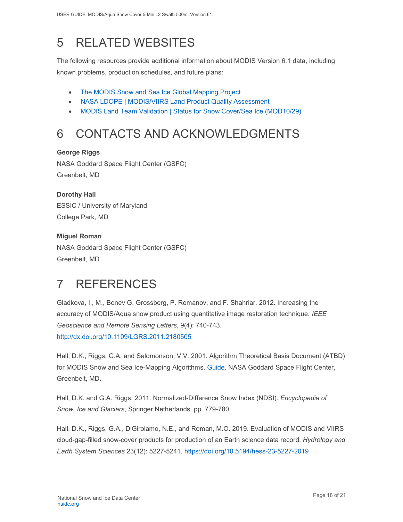# <span id="page-18-0"></span>5 RELATED WEBSITES

The following resources provide additional information about MODIS Version 6.1 data, including known problems, production schedules, and future plans:

- [The MODIS Snow and Sea Ice Global Mapping Project](http://modis-snow-ice.gsfc.nasa.gov/)
- [NASA LDOPE | MODIS/VIIRS Land Product Quality Assessment](https://landweb.modaps.eosdis.nasa.gov/cgi-bin/QS/new/index.cgi)
- [MODIS Land Team Validation | Status for Snow Cover/Sea Ice \(MOD10/29\)](https://modis-land.gsfc.nasa.gov/ValStatus.php?ProductID=MOD10/29)

# <span id="page-18-1"></span>6 CONTACTS AND ACKNOWLEDGMENTS

#### **George Riggs**

NASA Goddard Space Flight Center (GSFC) Greenbelt, MD

## **Dorothy Hall**  ESSIC / University of Maryland

College Park, MD

### **Miguel Roman**

NASA Goddard Space Flight Center (GSFC) Greenbelt, MD

# <span id="page-18-2"></span>7 REFERENCES

Gladkova, I., M., Bonev G. Grossberg, P. Romanov, and F. Shahriar. 2012. Increasing the accuracy of MODIS/Aqua snow product using quantitative image restoration technique. *IEEE Geoscience and Remote Sensing Letters*, 9(4): 740-743. <http://dx.doi.org/10.1109/LGRS.2011.2180505>

Hall, D.K., Riggs, G.A. and Salomonson, V.V. 2001. Algorithm Theoretical Basis Document (ATBD) for MODIS Snow and Sea Ice-Mapping Algorithms. [Guide.](https://modis-snow-ice.gsfc.nasa.gov/?c=atbd) NASA Goddard Space Flight Center, Greenbelt, MD.

Hall, D.K. and G.A. Riggs. 2011. Normalized-Difference Snow Index (NDSI). *Encyclopedia of Snow, Ice and Glaciers*, Springer Netherlands. pp. 779-780.

Hall, D.K., Riggs, G.A., DiGirolamo, N.E., and Roman, M.O. 2019. Evaluation of MODIS and VIIRS cloud-gap-filled snow-cover products for production of an Earth science data record. *Hydrology and Earth System Sciences* 23(12): 5227-5241.<https://doi.org/10.5194/hess-23-5227-2019>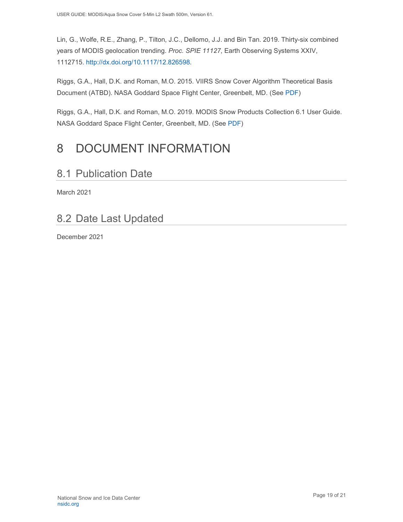Lin, G., Wolfe, R.E., Zhang, P., Tilton, J.C., Dellomo, J.J. and Bin Tan. 2019. Thirty-six combined years of MODIS geolocation trending. *Proc. SPIE 11127*, Earth Observing Systems XXIV, 1112715. [http://dx.doi.org/10.1117/12.826598.](http://dx.doi.org/10.1117/12.826598)

Riggs, G.A., Hall, D.K. and Roman, M.O. 2015. VIIRS Snow Cover Algorithm Theoretical Basis Document (ATBD). NASA Goddard Space Flight Center, Greenbelt, MD. (See [PDF\)](https://nsidc.org/sites/nsidc.org/files/technical-references/VIIRS_snow_cover_ATBD_2015.pdf)

Riggs, G.A., Hall, D.K. and Roman, M.O. 2019. MODIS Snow Products Collection 6.1 User Guide. NASA Goddard Space Flight Center, Greenbelt, MD. (See [PDF\)](https://nsidc.org/sites/nsidc.org/files/technical-references/C6.1_MODIS_Snow_User_Guide.pdf)

# <span id="page-19-0"></span>8 DOCUMENT INFORMATION

## <span id="page-19-1"></span>8.1 Publication Date

March 2021

# <span id="page-19-2"></span>8.2 Date Last Updated

December 2021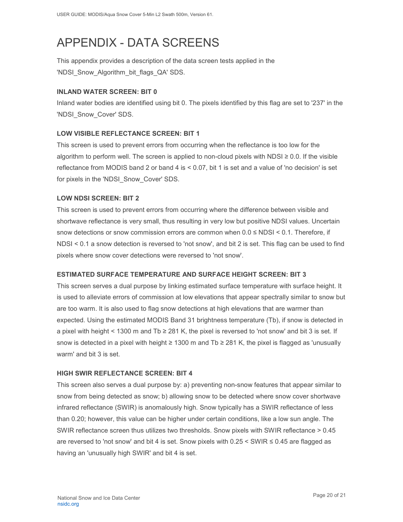# <span id="page-20-0"></span>APPENDIX - DATA SCREENS

This appendix provides a description of the data screen tests applied in the 'NDSI\_Snow\_Algorithm\_bit\_flags\_QA' SDS.

#### **INLAND WATER SCREEN: BIT 0**

Inland water bodies are identified using bit 0. The pixels identified by this flag are set to '237' in the 'NDSI\_Snow\_Cover' SDS.

#### **LOW VISIBLE REFLECTANCE SCREEN: BIT 1**

This screen is used to prevent errors from occurring when the reflectance is too low for the algorithm to perform well. The screen is applied to non-cloud pixels with NDSI  $\geq$  0.0. If the visible reflectance from MODIS band 2 or band 4 is < 0.07, bit 1 is set and a value of 'no decision' is set for pixels in the 'NDSI Snow Cover' SDS.

#### **LOW NDSI SCREEN: BIT 2**

This screen is used to prevent errors from occurring where the difference between visible and shortwave reflectance is very small, thus resulting in very low but positive NDSI values. Uncertain snow detections or snow commission errors are common when 0.0 ≤ NDSI < 0.1. Therefore, if NDSI < 0.1 a snow detection is reversed to 'not snow', and bit 2 is set. This flag can be used to find pixels where snow cover detections were reversed to 'not snow'.

#### **ESTIMATED SURFACE TEMPERATURE AND SURFACE HEIGHT SCREEN: BIT 3**

This screen serves a dual purpose by linking estimated surface temperature with surface height. It is used to alleviate errors of commission at low elevations that appear spectrally similar to snow but are too warm. It is also used to flag snow detections at high elevations that are warmer than expected. Using the estimated MODIS Band 31 brightness temperature (Tb), if snow is detected in a pixel with height < 1300 m and Tb ≥ 281 K, the pixel is reversed to 'not snow' and bit 3 is set. If snow is detected in a pixel with height  $\geq$  1300 m and Tb  $\geq$  281 K, the pixel is flagged as 'unusually warm' and bit 3 is set.

#### **HIGH SWIR REFLECTANCE SCREEN: BIT 4**

This screen also serves a dual purpose by: a) preventing non-snow features that appear similar to snow from being detected as snow; b) allowing snow to be detected where snow cover shortwave infrared reflectance (SWIR) is anomalously high. Snow typically has a SWIR reflectance of less than 0.20; however, this value can be higher under certain conditions, like a low sun angle. The SWIR reflectance screen thus utilizes two thresholds. Snow pixels with SWIR reflectance > 0.45 are reversed to 'not snow' and bit 4 is set. Snow pixels with  $0.25 \leq \text{SWIR} \leq 0.45$  are flagged as having an 'unusually high SWIR' and bit 4 is set.